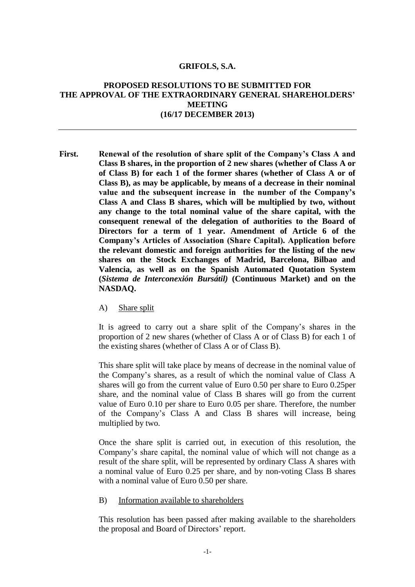#### **GRIFOLS, S.A.**

# **PROPOSED RESOLUTIONS TO BE SUBMITTED FOR THE APPROVAL OF THE EXTRAORDINARY GENERAL SHAREHOLDERS' MEETING (16/17 DECEMBER 2013)**

- **First. Renewal of the resolution of share split of the Company's Class A and Class B shares, in the proportion of 2 new shares (whether of Class A or of Class B) for each 1 of the former shares (whether of Class A or of Class B), as may be applicable, by means of a decrease in their nominal value and the subsequent increase in the number of the Company's Class A and Class B shares, which will be multiplied by two, without any change to the total nominal value of the share capital, with the consequent renewal of the delegation of authorities to the Board of Directors for a term of 1 year. Amendment of Article 6 of the Company's Articles of Association (Share Capital). Application before the relevant domestic and foreign authorities for the listing of the new shares on the Stock Exchanges of Madrid, Barcelona, Bilbao and Valencia, as well as on the Spanish Automated Quotation System (***Sistema de Interconexión Bursátil)* **(Continuous Market) and on the NASDAQ.**
	- A) Share split

It is agreed to carry out a share split of the Company's shares in the proportion of 2 new shares (whether of Class A or of Class B) for each 1 of the existing shares (whether of Class A or of Class B).

This share split will take place by means of decrease in the nominal value of the Company's shares, as a result of which the nominal value of Class A shares will go from the current value of Euro 0.50 per share to Euro 0.25per share, and the nominal value of Class B shares will go from the current value of Euro 0.10 per share to Euro 0.05 per share. Therefore, the number of the Company's Class A and Class B shares will increase, being multiplied by two.

Once the share split is carried out, in execution of this resolution, the Company's share capital, the nominal value of which will not change as a result of the share split, will be represented by ordinary Class A shares with a nominal value of Euro 0.25 per share, and by non-voting Class B shares with a nominal value of Euro 0.50 per share.

B) Information available to shareholders

This resolution has been passed after making available to the shareholders the proposal and Board of Directors' report.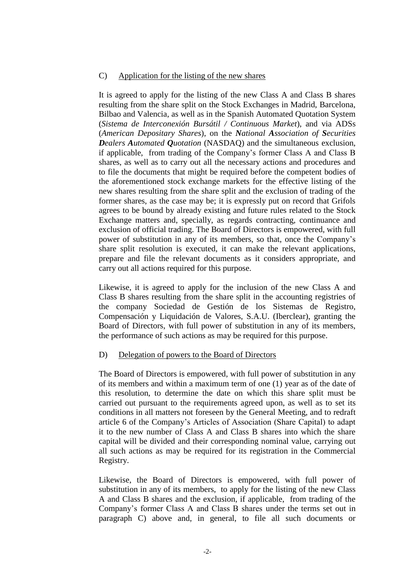# C) Application for the listing of the new shares

It is agreed to apply for the listing of the new Class A and Class B shares resulting from the share split on the Stock Exchanges in Madrid, Barcelona, Bilbao and Valencia, as well as in the Spanish Automated Quotation System (*Sistema de Interconexión Bursátil / Continuous Market*), and via ADSs (*American Depositary Shares*), on the *National Association of Securities Dealers Automated Quotation* (NASDAQ) and the simultaneous exclusion, if applicable, from trading of the Company's former Class A and Class B shares, as well as to carry out all the necessary actions and procedures and to file the documents that might be required before the competent bodies of the aforementioned stock exchange markets for the effective listing of the new shares resulting from the share split and the exclusion of trading of the former shares, as the case may be; it is expressly put on record that Grifols agrees to be bound by already existing and future rules related to the Stock Exchange matters and, specially, as regards contracting, continuance and exclusion of official trading. The Board of Directors is empowered, with full power of substitution in any of its members, so that, once the Company's share split resolution is executed, it can make the relevant applications, prepare and file the relevant documents as it considers appropriate, and carry out all actions required for this purpose.

Likewise, it is agreed to apply for the inclusion of the new Class A and Class B shares resulting from the share split in the accounting registries of the company Sociedad de Gestión de los Sistemas de Registro, Compensación y Liquidación de Valores, S.A.U. (Iberclear), granting the Board of Directors, with full power of substitution in any of its members, the performance of such actions as may be required for this purpose.

### D) Delegation of powers to the Board of Directors

The Board of Directors is empowered, with full power of substitution in any of its members and within a maximum term of one (1) year as of the date of this resolution, to determine the date on which this share split must be carried out pursuant to the requirements agreed upon, as well as to set its conditions in all matters not foreseen by the General Meeting, and to redraft article 6 of the Company's Articles of Association (Share Capital) to adapt it to the new number of Class A and Class B shares into which the share capital will be divided and their corresponding nominal value, carrying out all such actions as may be required for its registration in the Commercial Registry.

Likewise, the Board of Directors is empowered, with full power of substitution in any of its members, to apply for the listing of the new Class A and Class B shares and the exclusion, if applicable, from trading of the Company's former Class A and Class B shares under the terms set out in paragraph C) above and, in general, to file all such documents or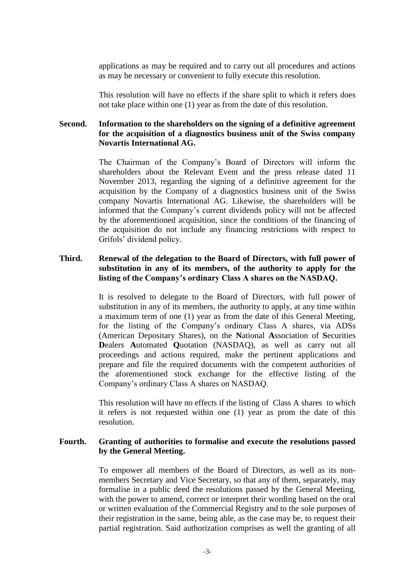applications as may be required and to carry out all procedures and actions as may be necessary or convenient to fully execute this resolution.

This resolution will have no effects if the share split to which it refers does not take place within one (1) year as from the date of this resolution.

# **Second. Information to the shareholders on the signing of a definitive agreement for the acquisition of a diagnostics business unit of the Swiss company Novartis International AG.**

The Chairman of the Company's Board of Directors will inform the shareholders about the Relevant Event and the press release dated 11 November 2013, regarding the signing of a definitive agreement for the acquisition by the Company of a diagnostics business unit of the Swiss company Novartis International AG. Likewise, the shareholders will be informed that the Company's current dividends policy will not be affected by the aforementioned acquisition, since the conditions of the financing of the acquisition do not include any financing restrictions with respect to Grifols' dividend policy.

### **Third. Renewal of the delegation to the Board of Directors, with full power of substitution in any of its members, of the authority to apply for the listing of the Company's ordinary Class A shares on the NASDAQ.**

It is resolved to delegate to the Board of Directors, with full power of substitution in any of its members, the authority to apply, at any time within a maximum term of one (1) year as from the date of this General Meeting, for the listing of the Company's ordinary Class A shares, via ADSs (American Depositary Shares), on the **N**ational **A**ssociation of **S**ecurities **D**ealers **A**utomated **Q**uotation (NASDAQ), as well as carry out all proceedings and actions required, make the pertinent applications and prepare and file the required documents with the competent authorities of the aforementioned stock exchange for the effective listing of the Company's ordinary Class A shares on NASDAQ.

This resolution will have no effects if the listing of Class A shares to which it refers is not requested within one (1) year as prom the date of this resolution.

### **Fourth. Granting of authorities to formalise and execute the resolutions passed by the General Meeting.**

To empower all members of the Board of Directors, as well as its nonmembers Secretary and Vice Secretary, so that any of them, separately, may formalise in a public deed the resolutions passed by the General Meeting, with the power to amend, correct or interpret their wording based on the oral or written evaluation of the Commercial Registry and to the sole purposes of their registration in the same, being able, as the case may be, to request their partial registration. Said authorization comprises as well the granting of all